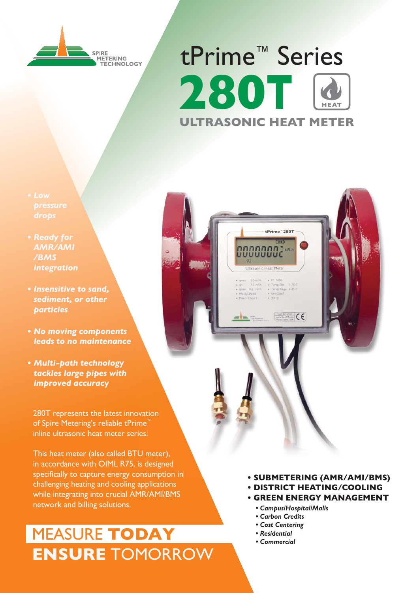

# tPrime<sup>™</sup> Series **280T ULTRASONIC HEAT METER**

tPrime" 280T um,

 $\frac{1}{2}$  **CE** 

00000002\*

- drops
- **AMR/AMI** /BMS *integration*
- · Insensitive to sand. sediment. or other **particles**
- No moving components leads to no maintenance
- Multi-path technology tackles large pipes with *imbroved accuracy*

280T represents the latest innovation of Spire Metering's reliable tPrime inline ultrasonic heat meter series.

This heat meter (also called BTU meter), in accordance with OIML R75, is designed specifically to capture energy consumption in challenging heating and cooling applications while integrating into crucial AMR/AMI/BMS network and billing solutions.

### **MEASURE TODAY ENSURE TOMORROW**

- · SUBMETERING (AMR/AMI/BMS) **. DISTRICT HEATING/COOLING** 
	- **GREEN ENERGY MANAGEMENT** 
		- Campus/Hospital/Malls
		- Carbon Credits
		- Cost Centering
		- Residential
		- Commercial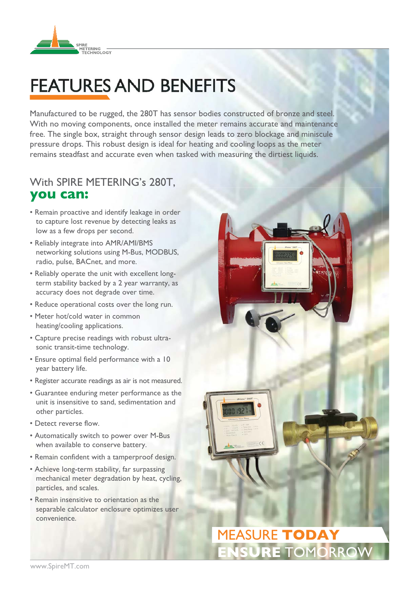

# **FEATURES AND BENEFITS**

Manufactured to be rugged, the 280T has sensor bodies constructed of bronze and steel. With no moving components, once installed the meter remains accurate and maintenance free. The single box, straight through sensor design leads to zero blockage and miniscule pressure drops. This robust design is ideal for heating and cooling loops as the meter remains steadfast and accurate even when tasked with measuring the dirtiest liquids.

### With SPIRE METERING's 280T. you can:

- Remain proactive and identify leakage in order to capture lost revenue by detecting leaks as low as a few drops per second.
- Reliably integrate into AMR/AMI/BMS networking solutions using M-Bus, MODBUS, radio, pulse, BACnet, and more.
- Reliably operate the unit with excellent longterm stability backed by a 2 year warranty, as accuracy does not degrade over time.
- Reduce operational costs over the long run.
- Meter hot/cold water in common heating/cooling applications.
- Capture precise readings with robust ultrasonic transit-time technology.
- Ensure optimal field performance with a 10 year battery life.
- Register accurate readings as air is not measured.
- Guarantee enduring meter performance as the unit is insensitive to sand, sedimentation and other particles.
- Detect reverse flow.
- Automatically switch to power over M-Bus when available to conserve battery.
- Remain confident with a tamperproof design.
- Achieve long-term stability, far surpassing mechanical meter degradation by heat, cycling, particles, and scales.
- Remain insensitive to orientation as the separable calculator enclosure optimizes user convenience.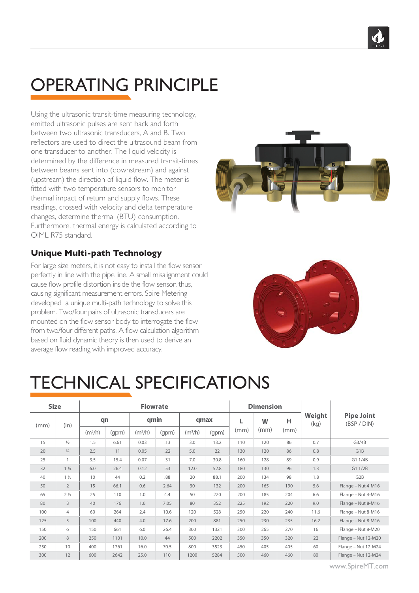

# OPERATING PRINCIPLE

Using the ultrasonic transit-time measuring technology, emitted ultrasonic pulses are sent back and forth between two ultrasonic transducers, A and B. Two reflectors are used to direct the ultrasound beam from one transducer to another. The liquid velocity is determined by the difference in measured transit-times between beams sent into (downstream) and against (upstream) the direction of liquid flow. The meter is fitted with two temperature sensors to monitor thermal impact of return and supply flows. These readings, crossed with velocity and delta temperature changes, determine thermal (BTU) consumption. Furthermore, thermal energy is calculated according to OIML R75 standard.



#### **Unique Multi-path Technology**

For large size meters, it is not easy to install the flow sensor perfectly in line with the pipe line. A small misalignment could cause flow profile distortion inside the flow sensor, thus, causing significant measurement errors. Spire Metering developed a unique multi-path technology to solve this problem. Two/four pairs of ultrasonic transducers are mounted on the flow sensor body to interrogate the flow from two/four different paths. A flow calculation algorithm based on fluid dynamic theory is then used to derive an average flow reading with improved accuracy.



### TECHNICAL SPECIFICATIONS

| <b>Size</b> |                | <b>Flowrate</b>     |       |                     |       |                     |       | <b>Dimension</b> |      |      |                |                                  |
|-------------|----------------|---------------------|-------|---------------------|-------|---------------------|-------|------------------|------|------|----------------|----------------------------------|
| (mm)        | (in)           | qn                  |       | qmin                |       | qmax                |       |                  | W    | н    | Weight<br>(kq) | <b>Pipe Joint</b><br>(BSP / DIN) |
|             |                | (m <sup>3</sup> /h) | (gpm) | (m <sup>3</sup> /h) | (qpm) | (m <sup>3</sup> /h) | (gpm) | (mm)             | (mm) | (mm) |                |                                  |
| 15          | $\frac{1}{2}$  | 1.5                 | 6.61  | 0.03                | .13   | 3.0                 | 13.2  | 110              | 120  | 86   | 0.7            | G3/4B                            |
| 20          | $\frac{3}{4}$  | 2.5                 | 11    | 0.05                | .22   | 5.0                 | 22    | 130              | 120  | 86   | 0.8            | G1B                              |
| 25          | $\mathbf{1}$   | 3.5                 | 15.4  | 0.07                | .31   | 7.0                 | 30.8  | 160              | 128  | 89   | 0.9            | G1 1/4B                          |
| 32          | $1\frac{1}{4}$ | 6.0                 | 26.4  | 0.12                | .53   | 12.0                | 52.8  | 180              | 130  | 96   | 1.3            | G1 1/2B                          |
| 40          | $1\frac{1}{2}$ | 10                  | 44    | 0.2                 | .88   | 20                  | 88.1  | 200              | 134  | 98   | 1.8            | G <sub>2</sub> B                 |
| 50          | $\overline{2}$ | 15                  | 66.1  | 0.6                 | 2.64  | 30                  | 132   | 200              | 165  | 190  | 5.6            | Flange - Nut 4-M16               |
| 65          | $2\frac{1}{2}$ | 25                  | 110   | 1.0                 | 4.4   | 50                  | 220   | 200              | 185  | 204  | 6.6            | Flange - Nut 4-M16               |
| 80          | 3              | 40                  | 176   | 1.6                 | 7.05  | 80                  | 352   | 225              | 192  | 220  | 9.0            | Flange - Nut 8-M16               |
| 100         | 4              | 60                  | 264   | 2.4                 | 10.6  | 120                 | 528   | 250              | 220  | 240  | 11.6           | Flange - Nut 8-M16               |
| 125         | 5              | 100                 | 440   | 4.0                 | 17.6  | 200                 | 881   | 250              | 230  | 235  | 16.2           | Flange - Nut 8-M16               |
| 150         | 6              | 150                 | 661   | 6.0                 | 26.4  | 300                 | 1321  | 300              | 265  | 270  | 16             | Flange - Nut 8-M20               |
| 200         | 8              | 250                 | 1101  | 10.0                | 44    | 500                 | 2202  | 350              | 350  | 320  | 22             | Flange - Nut 12-M20              |
| 250         | 10             | 400                 | 1761  | 16.0                | 70.5  | 800                 | 3523  | 450              | 405  | 405  | 60             | Flange - Nut 12-M24              |
| 300         | 12             | 600                 | 2642  | 25.0                | 110   | 1200                | 5284  | 500              | 460  | 460  | 80             | Flange - Nut 12-M24              |

www.SpireMT.com